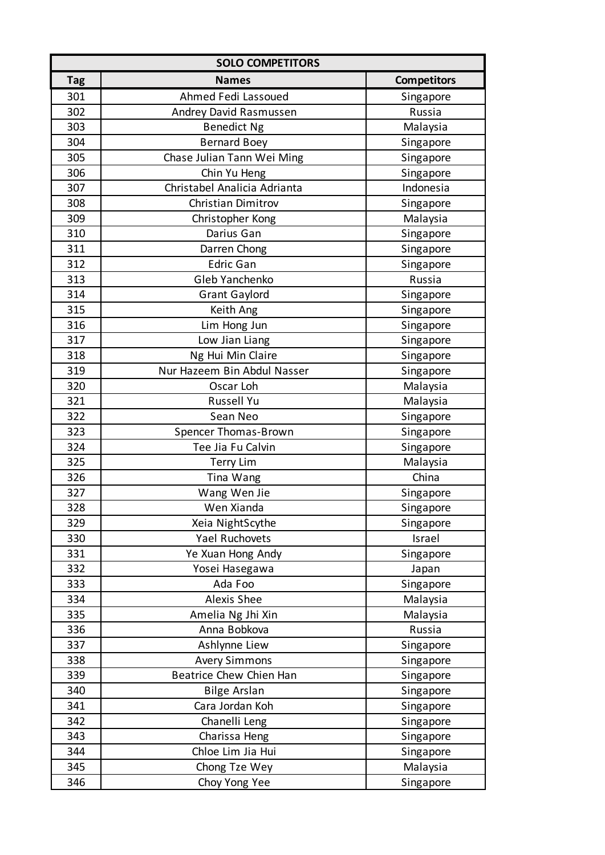| <b>SOLO COMPETITORS</b> |                              |                    |  |
|-------------------------|------------------------------|--------------------|--|
| <b>Tag</b>              | <b>Names</b>                 | <b>Competitors</b> |  |
| 301                     | Ahmed Fedi Lassoued          | Singapore          |  |
| 302                     | Andrey David Rasmussen       | Russia             |  |
| 303                     | <b>Benedict Ng</b>           | Malaysia           |  |
| 304                     | <b>Bernard Boey</b>          | Singapore          |  |
| 305                     | Chase Julian Tann Wei Ming   | Singapore          |  |
| 306                     | Chin Yu Heng                 | Singapore          |  |
| 307                     | Christabel Analicia Adrianta | Indonesia          |  |
| 308                     | Christian Dimitrov           | Singapore          |  |
| 309                     | Christopher Kong             | Malaysia           |  |
| 310                     | Darius Gan                   | Singapore          |  |
| 311                     | Darren Chong                 | Singapore          |  |
| 312                     | <b>Edric Gan</b>             | Singapore          |  |
| 313                     | Gleb Yanchenko               | Russia             |  |
| 314                     | <b>Grant Gaylord</b>         | Singapore          |  |
| 315                     | Keith Ang                    | Singapore          |  |
| 316                     | Lim Hong Jun                 | Singapore          |  |
| 317                     | Low Jian Liang               | Singapore          |  |
| 318                     | Ng Hui Min Claire            | Singapore          |  |
| 319                     | Nur Hazeem Bin Abdul Nasser  | Singapore          |  |
| 320                     | Oscar Loh                    | Malaysia           |  |
| 321                     | Russell Yu                   | Malaysia           |  |
| 322                     | Sean Neo                     | Singapore          |  |
| 323                     | Spencer Thomas-Brown         | Singapore          |  |
| 324                     | Tee Jia Fu Calvin            | Singapore          |  |
| 325                     | <b>Terry Lim</b>             | Malaysia           |  |
| 326                     | Tina Wang                    | China              |  |
| 327                     | Wang Wen Jie                 | Singapore          |  |
| 328                     | Wen Xianda                   | Singapore          |  |
| 329                     | Xeia NightScythe             | Singapore          |  |
| 330                     | Yael Ruchovets               | Israel             |  |
| 331                     | Ye Xuan Hong Andy            | Singapore          |  |
| 332                     | Yosei Hasegawa               | Japan              |  |
| 333                     | Ada Foo                      | Singapore          |  |
| 334                     | <b>Alexis Shee</b>           | Malaysia           |  |
| 335                     | Amelia Ng Jhi Xin            | Malaysia           |  |
| 336                     | Anna Bobkova                 | Russia             |  |
| 337                     | Ashlynne Liew                | Singapore          |  |
| 338                     | <b>Avery Simmons</b>         | Singapore          |  |
| 339                     | Beatrice Chew Chien Han      | Singapore          |  |
| 340                     | <b>Bilge Arslan</b>          | Singapore          |  |
| 341                     | Cara Jordan Koh              | Singapore          |  |
| 342                     | Chanelli Leng                | Singapore          |  |
| 343                     | Charissa Heng                | Singapore          |  |
| 344                     | Chloe Lim Jia Hui            | Singapore          |  |
| 345                     | Chong Tze Wey                | Malaysia           |  |
| 346                     | Choy Yong Yee                | Singapore          |  |